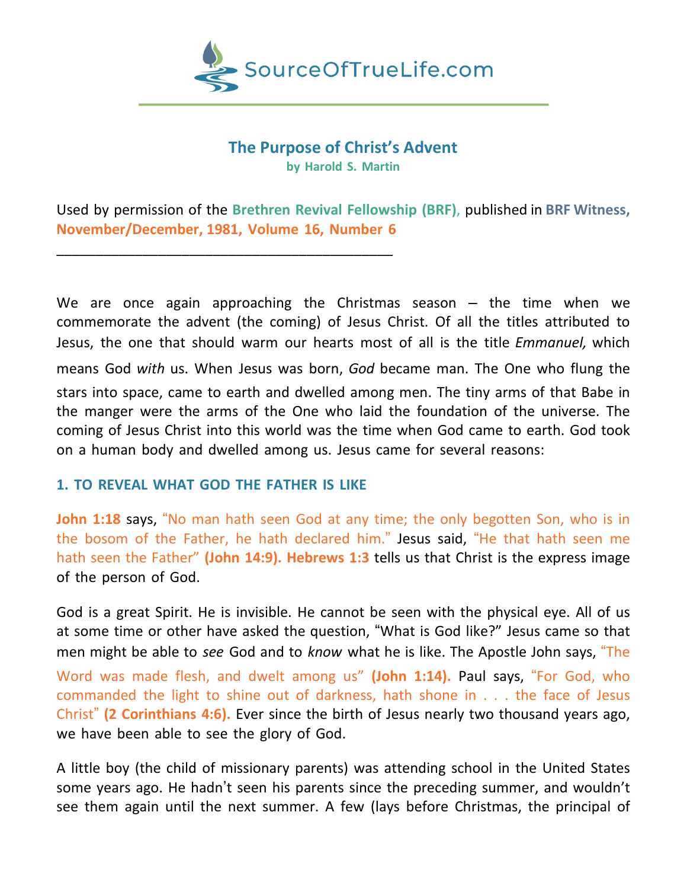

# **The Purpose of Christ's Advent by Harold S. Martin**

Used by permission of the **Brethren Revival Fellowship (BRF)**, published in **BRF Witness, November/December, 1981, Volume 16, Number 6**

We are once again approaching the Christmas season  $-$  the time when we commemorate the advent (the coming) of Jesus Christ. Of all the titles attributed to Jesus, the one that should warm our hearts most of all is the title *Emmanuel,* which means God *with* us. When Jesus was born, *God* became man. The One who flung the stars into space, came to earth and dwelled among men. The tiny arms of that Babe in the manger were the arms of the One who laid the foundation of the universe. The coming of Jesus Christ into this world was the time when God came to earth. God took on a human body and dwelled among us. Jesus came for several reasons:

## **1. TO REVEAL WHAT GOD THE FATHER IS LIKE**

\_\_\_\_\_\_\_\_\_\_\_\_\_\_\_\_\_\_\_\_\_\_\_\_\_\_\_\_\_\_\_\_\_\_\_\_\_\_\_\_\_\_\_

**John 1:18** says, "No man hath seen God at any time; the only begotten Son, who is in the bosom of the Father, he hath declared him." Jesus said, "He that hath seen me hath seen the Father" **(John 14:9). Hebrews 1:3** tells us that Christ is the express image of the person of God.

God is a great Spirit. He is invisible. He cannot be seen with the physical eye. All of us at some time or other have asked the question, "What is God like?" Jesus came so that men might be able to *see* God and to *know* what he is like. The Apostle John says, "The Word was made flesh, and dwelt among us" **(John 1:14).** Paul says, "For God, who commanded the light to shine out of darkness, hath shone in . . . the face of Jesus Christ" **(2 Corinthians 4:6).** Ever since the birth of Jesus nearly two thousand years ago, we have been able to see the glory of God.

A little boy (the child of missionary parents) was attending school in the United States some years ago. He hadn't seen his parents since the preceding summer, and wouldn't see them again until the next summer. A few (lays before Christmas, the principal of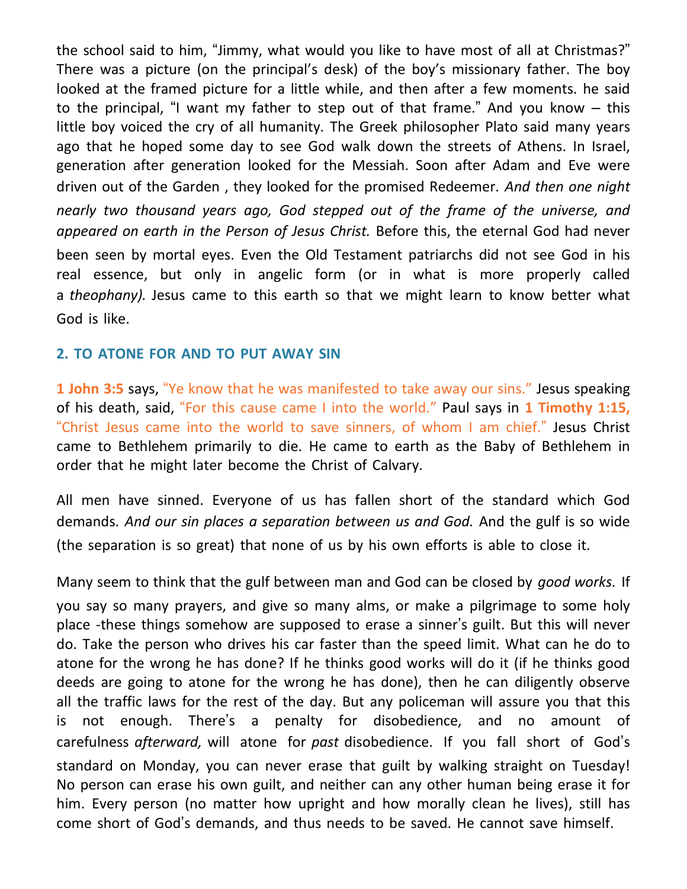the school said to him, "Jimmy, what would you like to have most of all at Christmas?" There was a picture (on the principal's desk) of the boy's missionary father. The boy looked at the framed picture for a little while, and then after a few moments. he said to the principal, "I want my father to step out of that frame." And you know – this little boy voiced the cry of all humanity. The Greek philosopher Plato said many years ago that he hoped some day to see God walk down the streets of Athens. In Israel, generation after generation looked for the Messiah. Soon after Adam and Eve were driven out of the Garden , they looked for the promised Redeemer. *And then one night nearly two thousand years ago, God stepped out of the frame of the universe, and appeared on earth in the Person of Jesus Christ.* Before this, the eternal God had never been seen by mortal eyes. Even the Old Testament patriarchs did not see God in his real essence, but only in angelic form (or in what is more properly called a *theophany).* Jesus came to this earth so that we might learn to know better what God is like.

## **2. TO ATONE FOR AND TO PUT AWAY SIN**

**1 John 3:5** says, "Ye know that he was manifested to take away our sins." Jesus speaking of his death, said, "For this cause came I into the world." Paul says in **1 Timothy 1:15,** "Christ Jesus came into the world to save sinners, of whom I am chief." Jesus Christ came to Bethlehem primarily to die. He came to earth as the Baby of Bethlehem in order that he might later become the Christ of Calvary.

All men have sinned. Everyone of us has fallen short of the standard which God demands. *And our sin places a separation between us and God.* And the gulf is so wide (the separation is so great) that none of us by his own efforts is able to close it.

Many seem to think that the gulf between man and God can be closed by *good works.* If you say so many prayers, and give so many alms, or make a pilgrimage to some holy place -these things somehow are supposed to erase a sinner's guilt. But this will never do. Take the person who drives his car faster than the speed limit. What can he do to atone for the wrong he has done? If he thinks good works will do it (if he thinks good deeds are going to atone for the wrong he has done), then he can diligently observe all the traffic laws for the rest of the day. But any policeman will assure you that this is not enough. There's a penalty for disobedience, and no amount of carefulness *afterward,* will atone for *past* disobedience. If you fall short of God's standard on Monday, you can never erase that guilt by walking straight on Tuesday! No person can erase his own guilt, and neither can any other human being erase it for him. Every person (no matter how upright and how morally clean he lives), still has come short of God's demands, and thus needs to be saved. He cannot save himself.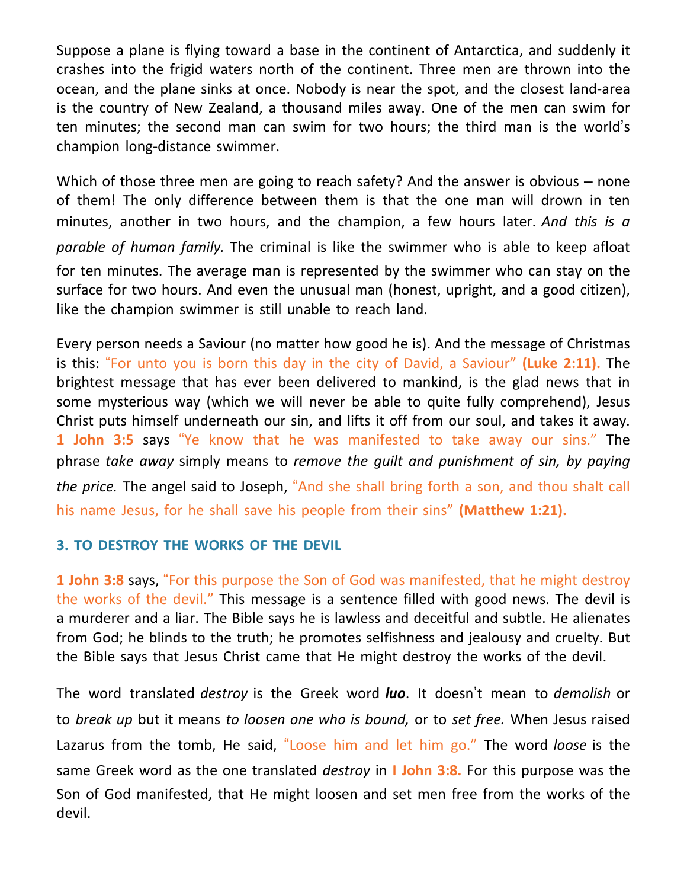Suppose a plane is flying toward a base in the continent of Antarctica, and suddenly it crashes into the frigid waters north of the continent. Three men are thrown into the ocean, and the plane sinks at once. Nobody is near the spot, and the closest land-area is the country of New Zealand, a thousand miles away. One of the men can swim for ten minutes; the second man can swim for two hours; the third man is the world's champion long-distance swimmer.

Which of those three men are going to reach safety? And the answer is obvious – none of them! The only difference between them is that the one man will drown in ten minutes, another in two hours, and the champion, a few hours later. *And this is a parable of human family.* The criminal is like the swimmer who is able to keep afloat for ten minutes. The average man is represented by the swimmer who can stay on the surface for two hours. And even the unusual man (honest, upright, and a good citizen), like the champion swimmer is still unable to reach land.

Every person needs a Saviour (no matter how good he is). And the message of Christmas is this: "For unto you is born this day in the city of David, a Saviour" **(Luke 2:11).** The brightest message that has ever been delivered to mankind, is the glad news that in some mysterious way (which we will never be able to quite fully comprehend), Jesus Christ puts himself underneath our sin, and lifts it off from our soul, and takes it away. **1 John 3:5** says "Ye know that he was manifested to take away our sins." The phrase *take away* simply means to *remove the guilt and punishment of sin, by paying the price.* The angel said to Joseph, "And she shall bring forth a son, and thou shalt call his name Jesus, for he shall save his people from their sins" **(Matthew 1:21).**

## **3. TO DESTROY THE WORKS OF THE DEVIL**

**1 John 3:8** says, "For this purpose the Son of God was manifested, that he might destroy the works of the devil." This message is a sentence filled with good news. The devil is a murderer and a liar. The Bible says he is lawless and deceitful and subtle. He alienates from God; he blinds to the truth; he promotes selfishness and jealousy and cruelty. But the Bible says that Jesus Christ came that He might destroy the works of the deviI.

The word translated *destroy* is the Greek word *luo*. It doesn't mean to *demolish* or to *break up* but it means *to loosen one who is bound,* or to *set free.* When Jesus raised Lazarus from the tomb, He said, "Loose him and let him go." The word *loose* is the same Greek word as the one translated *destroy* in **I John 3:8.** For this purpose was the Son of God manifested, that He might loosen and set men free from the works of the devil.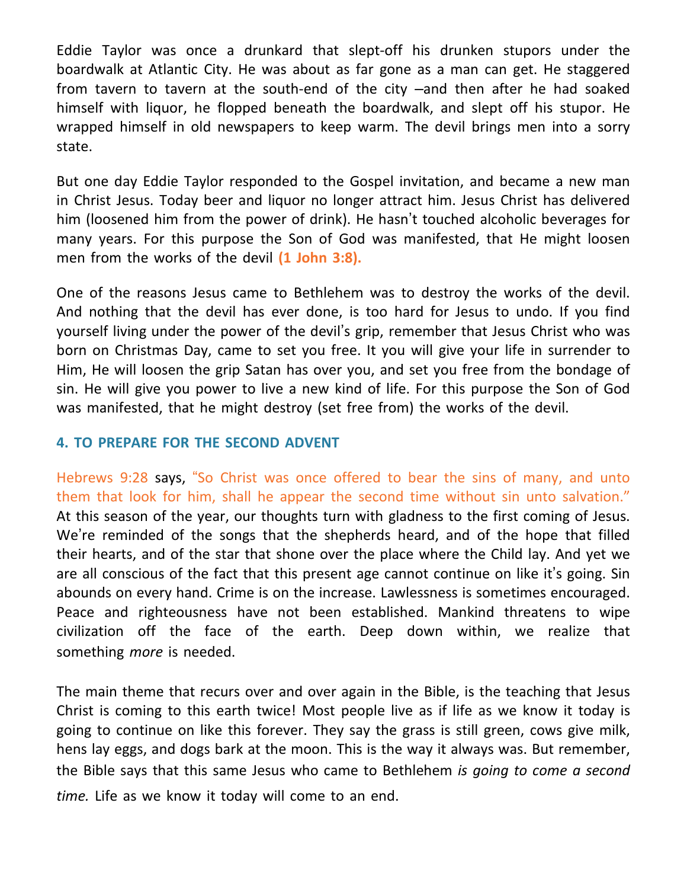Eddie Taylor was once a drunkard that slept-off his drunken stupors under the boardwalk at Atlantic City. He was about as far gone as a man can get. He staggered from tavern to tavern at the south-end of the city –and then after he had soaked himself with liquor, he flopped beneath the boardwalk, and slept off his stupor. He wrapped himself in old newspapers to keep warm. The devil brings men into a sorry state.

But one day Eddie Taylor responded to the Gospel invitation, and became a new man in Christ Jesus. Today beer and liquor no longer attract him. Jesus Christ has delivered him (loosened him from the power of drink). He hasn't touched alcoholic beverages for many years. For this purpose the Son of God was manifested, that He might loosen men from the works of the devil **(1 John 3:8).**

One of the reasons Jesus came to Bethlehem was to destroy the works of the devil. And nothing that the devil has ever done, is too hard for Jesus to undo. If you find yourself living under the power of the devil's grip, remember that Jesus Christ who was born on Christmas Day, came to set you free. It you will give your life in surrender to Him, He will loosen the grip Satan has over you, and set you free from the bondage of sin. He will give you power to live a new kind of life. For this purpose the Son of God was manifested, that he might destroy (set free from) the works of the devil.

### **4. TO PREPARE FOR THE SECOND ADVENT**

Hebrews 9:28 says, "So Christ was once offered to bear the sins of many, and unto them that look for him, shall he appear the second time without sin unto salvation." At this season of the year, our thoughts turn with gladness to the first coming of Jesus. We're reminded of the songs that the shepherds heard, and of the hope that filled their hearts, and of the star that shone over the place where the Child lay. And yet we are all conscious of the fact that this present age cannot continue on like it's going. Sin abounds on every hand. Crime is on the increase. Lawlessness is sometimes encouraged. Peace and righteousness have not been established. Mankind threatens to wipe civilization off the face of the earth. Deep down within, we realize that something *more* is needed.

The main theme that recurs over and over again in the Bible, is the teaching that Jesus Christ is coming to this earth twice! Most people live as if life as we know it today is going to continue on like this forever. They say the grass is still green, cows give milk, hens lay eggs, and dogs bark at the moon. This is the way it always was. But remember, the Bible says that this same Jesus who came to Bethlehem *is going to come a second time.* Life as we know it today will come to an end.